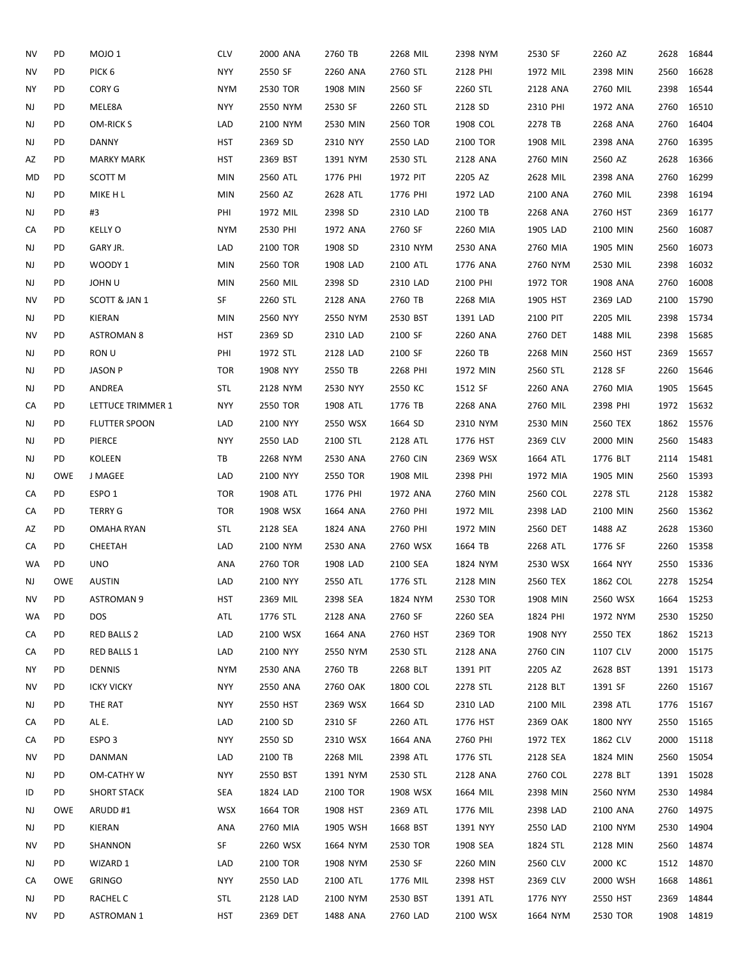| NV        | PD         | MOJO 1               | <b>CLV</b> | 2000 ANA | 2760 TB  | 2268 MIL | 2398 NYM | 2530 SF  | 2260 AZ  | 2628       | 16844      |
|-----------|------------|----------------------|------------|----------|----------|----------|----------|----------|----------|------------|------------|
| NV        | PD         | PICK <sub>6</sub>    | <b>NYY</b> | 2550 SF  | 2260 ANA | 2760 STL | 2128 PHI | 1972 MIL | 2398 MIN | 2560       | 16628      |
| <b>NY</b> | PD         | CORY G               | <b>NYM</b> | 2530 TOR | 1908 MIN | 2560 SF  | 2260 STL | 2128 ANA | 2760 MIL | 2398       | 16544      |
| NJ        | PD         | MELE8A               | <b>NYY</b> | 2550 NYM | 2530 SF  | 2260 STL | 2128 SD  | 2310 PHI | 1972 ANA | 2760       | 16510      |
| NJ        | PD         | OM-RICK S            | LAD        | 2100 NYM | 2530 MIN | 2560 TOR | 1908 COL | 2278 TB  | 2268 ANA | 2760       | 16404      |
| NJ        | PD         | DANNY                | <b>HST</b> | 2369 SD  | 2310 NYY | 2550 LAD | 2100 TOR | 1908 MIL | 2398 ANA | 2760       | 16395      |
| AZ        | PD         | <b>MARKY MARK</b>    | <b>HST</b> | 2369 BST | 1391 NYM | 2530 STL | 2128 ANA | 2760 MIN | 2560 AZ  | 2628       | 16366      |
| MD        | PD         | SCOTT M              | <b>MIN</b> | 2560 ATL | 1776 PHI | 1972 PIT | 2205 AZ  | 2628 MIL | 2398 ANA | 2760       | 16299      |
| NJ        | PD         | MIKE H L             | <b>MIN</b> | 2560 AZ  | 2628 ATL | 1776 PHI | 1972 LAD | 2100 ANA | 2760 MIL | 2398       | 16194      |
| NJ        | PD         | #3                   | PHI        | 1972 MIL | 2398 SD  | 2310 LAD | 2100 TB  | 2268 ANA | 2760 HST | 2369       | 16177      |
| CA        | PD         | <b>KELLY O</b>       | <b>NYM</b> | 2530 PHI | 1972 ANA | 2760 SF  | 2260 MIA | 1905 LAD | 2100 MIN | 2560       | 16087      |
| NJ        | PD         | GARY JR.             | LAD        | 2100 TOR | 1908 SD  | 2310 NYM | 2530 ANA | 2760 MIA | 1905 MIN | 2560       | 16073      |
| NJ        | PD         | WOODY 1              | <b>MIN</b> | 2560 TOR | 1908 LAD | 2100 ATL | 1776 ANA | 2760 NYM | 2530 MIL | 2398       | 16032      |
| NJ        | PD         | <b>JOHN U</b>        | MIN        | 2560 MIL | 2398 SD  | 2310 LAD | 2100 PHI | 1972 TOR | 1908 ANA | 2760       | 16008      |
| ΝV        | PD         | SCOTT & JAN 1        | SF         | 2260 STL | 2128 ANA | 2760 TB  | 2268 MIA | 1905 HST | 2369 LAD | 2100       | 15790      |
| NJ        | PD         | KIERAN               | <b>MIN</b> | 2560 NYY | 2550 NYM | 2530 BST | 1391 LAD | 2100 PIT | 2205 MIL | 2398       | 15734      |
| ΝV        | PD         | <b>ASTROMAN 8</b>    | <b>HST</b> | 2369 SD  | 2310 LAD | 2100 SF  | 2260 ANA | 2760 DET | 1488 MIL | 2398       | 15685      |
| NJ        | PD         | RON U                | PHI        | 1972 STL | 2128 LAD | 2100 SF  | 2260 TB  | 2268 MIN | 2560 HST | 2369       | 15657      |
| NJ        | PD         | <b>JASON P</b>       | <b>TOR</b> | 1908 NYY | 2550 TB  | 2268 PHI | 1972 MIN | 2560 STL | 2128 SF  | 2260       | 15646      |
| NJ        | PD         | ANDREA               | STL        | 2128 NYM | 2530 NYY | 2550 KC  | 1512 SF  | 2260 ANA | 2760 MIA | 1905       | 15645      |
| CA        | PD         | LETTUCE TRIMMER 1    | <b>NYY</b> | 2550 TOR | 1908 ATL | 1776 TB  | 2268 ANA | 2760 MIL | 2398 PHI | 1972       | 15632      |
| NJ        | PD         | <b>FLUTTER SPOON</b> | LAD        | 2100 NYY | 2550 WSX | 1664 SD  | 2310 NYM | 2530 MIN | 2560 TEX |            | 1862 15576 |
| NJ        | PD         | PIERCE               | <b>NYY</b> | 2550 LAD | 2100 STL | 2128 ATL | 1776 HST | 2369 CLV | 2000 MIN | 2560 15483 |            |
| NJ        | PD         | KOLEEN               | TB         | 2268 NYM | 2530 ANA | 2760 CIN | 2369 WSX | 1664 ATL | 1776 BLT |            | 2114 15481 |
| NJ        | <b>OWE</b> | J MAGEE              | LAD        | 2100 NYY | 2550 TOR | 1908 MIL | 2398 PHI | 1972 MIA | 1905 MIN |            | 2560 15393 |
| CA        | PD         | ESPO <sub>1</sub>    | <b>TOR</b> | 1908 ATL | 1776 PHI | 1972 ANA | 2760 MIN | 2560 COL | 2278 STL | 2128       | 15382      |
| CA        | PD         | <b>TERRY G</b>       | <b>TOR</b> | 1908 WSX | 1664 ANA | 2760 PHI | 1972 MIL | 2398 LAD | 2100 MIN | 2560       | 15362      |
| AZ        | PD         | OMAHA RYAN           | STL        | 2128 SEA | 1824 ANA | 2760 PHI | 1972 MIN | 2560 DET | 1488 AZ  | 2628       | 15360      |
| CA        | PD         | CHEETAH              | LAD        | 2100 NYM | 2530 ANA | 2760 WSX | 1664 TB  | 2268 ATL | 1776 SF  | 2260       | 15358      |
| WA        | PD         | <b>UNO</b>           | ANA        | 2760 TOR | 1908 LAD | 2100 SEA | 1824 NYM | 2530 WSX | 1664 NYY | 2550 15336 |            |
| NJ        | <b>OWE</b> | <b>AUSTIN</b>        | LAD        | 2100 NYY | 2550 ATL | 1776 STL | 2128 MIN | 2560 TEX | 1862 COL |            | 2278 15254 |
| NV        | PD         | <b>ASTROMAN 9</b>    | HST        | 2369 MIL | 2398 SEA | 1824 NYM | 2530 TOR | 1908 MIN | 2560 WSX | 1664       | 15253      |
| WA        | PD         | <b>DOS</b>           | ATL        | 1776 STL | 2128 ANA | 2760 SF  | 2260 SEA | 1824 PHI | 1972 NYM | 2530       | 15250      |
| CA        | PD         | RED BALLS 2          | LAD        | 2100 WSX | 1664 ANA | 2760 HST | 2369 TOR | 1908 NYY | 2550 TEX |            | 1862 15213 |
| CA        | PD         | RED BALLS 1          | LAD        | 2100 NYY | 2550 NYM | 2530 STL | 2128 ANA | 2760 CIN | 1107 CLV | 2000 15175 |            |
| ΝY        | PD         | <b>DENNIS</b>        | <b>NYM</b> | 2530 ANA | 2760 TB  | 2268 BLT | 1391 PIT | 2205 AZ  | 2628 BST | 1391 15173 |            |
| ΝV        | PD         | <b>ICKY VICKY</b>    | NYY        | 2550 ANA | 2760 OAK | 1800 COL | 2278 STL | 2128 BLT | 1391 SF  |            | 2260 15167 |
| NJ        | PD         | THE RAT              | NYY        | 2550 HST | 2369 WSX | 1664 SD  | 2310 LAD | 2100 MIL | 2398 ATL |            | 1776 15167 |
| CA        | PD         | AL E.                | LAD        | 2100 SD  | 2310 SF  | 2260 ATL | 1776 HST | 2369 OAK | 1800 NYY |            | 2550 15165 |
| CA        | PD         | ESPO <sub>3</sub>    | NYY        | 2550 SD  | 2310 WSX | 1664 ANA | 2760 PHI | 1972 TEX | 1862 CLV | 2000       | 15118      |
| ΝV        | PD         | DANMAN               | LAD        | 2100 TB  | 2268 MIL | 2398 ATL | 1776 STL | 2128 SEA | 1824 MIN | 2560       | 15054      |
| NJ        | PD.        | OM-CATHY W           | NYY        | 2550 BST | 1391 NYM | 2530 STL | 2128 ANA | 2760 COL | 2278 BLT | 1391 15028 |            |
| ID        | PD         | <b>SHORT STACK</b>   | SEA        | 1824 LAD | 2100 TOR | 1908 WSX | 1664 MIL | 2398 MIN | 2560 NYM | 2530       | 14984      |
| NJ        | OWE        | ARUDD#1              | <b>WSX</b> | 1664 TOR | 1908 HST | 2369 ATL | 1776 MIL | 2398 LAD | 2100 ANA | 2760       | 14975      |
| NJ        | PD.        | KIERAN               | ANA        | 2760 MIA | 1905 WSH | 1668 BST | 1391 NYY | 2550 LAD | 2100 NYM | 2530       | 14904      |
| ΝV        | PD         | SHANNON              | SF         | 2260 WSX | 1664 NYM | 2530 TOR | 1908 SEA | 1824 STL | 2128 MIN | 2560       | 14874      |
| NJ        | PD.        | WIZARD 1             | LAD        | 2100 TOR | 1908 NYM | 2530 SF  | 2260 MIN | 2560 CLV | 2000 KC  | 1512       | 14870      |
| CA        | OWE        | <b>GRINGO</b>        | <b>NYY</b> | 2550 LAD | 2100 ATL | 1776 MIL | 2398 HST | 2369 CLV | 2000 WSH | 1668       | 14861      |
| NJ        | PD         | RACHEL C             | STL        | 2128 LAD | 2100 NYM | 2530 BST | 1391 ATL | 1776 NYY | 2550 HST | 2369       | 14844      |
| ΝV        | PD         | <b>ASTROMAN 1</b>    | <b>HST</b> | 2369 DET | 1488 ANA | 2760 LAD | 2100 WSX | 1664 NYM | 2530 TOR |            | 1908 14819 |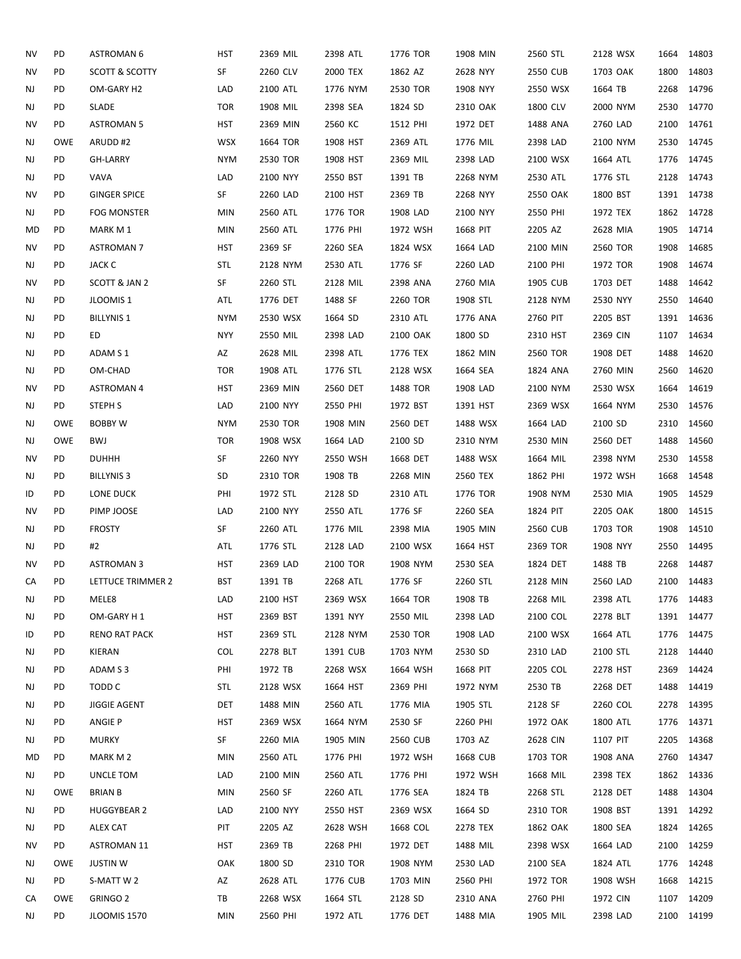| NV        | PD         | <b>ASTROMAN 6</b>    | HST        | 2369 MIL | 2398 ATL | 1776 TOR | 1908 MIN | 2560 STL | 2128 WSX             | 1664 | 14803      |
|-----------|------------|----------------------|------------|----------|----------|----------|----------|----------|----------------------|------|------------|
| NV        | PD         | SCOTT & SCOTTY       | SF         | 2260 CLV | 2000 TEX | 1862 AZ  | 2628 NYY | 2550 CUB | 1703 OAK             | 1800 | 14803      |
| NJ        | PD         | OM-GARY H2           | LAD        | 2100 ATL | 1776 NYM | 2530 TOR | 1908 NYY | 2550 WSX | 1664 TB              | 2268 | 14796      |
| NJ        | PD         | SLADE                | <b>TOR</b> | 1908 MIL | 2398 SEA | 1824 SD  | 2310 OAK | 1800 CLV | 2000 NYM             | 2530 | 14770      |
| ΝV        | PD         | <b>ASTROMAN 5</b>    | HST        | 2369 MIN | 2560 KC  | 1512 PHI | 1972 DET | 1488 ANA | 2760 LAD             | 2100 | 14761      |
| NJ        | <b>OWE</b> | ARUDD#2              | <b>WSX</b> | 1664 TOR | 1908 HST | 2369 ATL | 1776 MIL | 2398 LAD | 2100 NYM             |      | 2530 14745 |
|           | PD         |                      | <b>NYM</b> |          |          | 2369 MIL | 2398 LAD | 2100 WSX |                      | 1776 | 14745      |
| NJ        | PD         | GH-LARRY             | LAD        | 2530 TOR | 1908 HST |          |          |          | 1664 ATL<br>1776 STL |      | 2128 14743 |
| NJ        |            | VAVA                 |            | 2100 NYY | 2550 BST | 1391 TB  | 2268 NYM | 2530 ATL |                      |      |            |
| <b>NV</b> | PD         | <b>GINGER SPICE</b>  | SF         | 2260 LAD | 2100 HST | 2369 TB  | 2268 NYY | 2550 OAK | 1800 BST             |      | 1391 14738 |
| NJ        | PD         | <b>FOG MONSTER</b>   | <b>MIN</b> | 2560 ATL | 1776 TOR | 1908 LAD | 2100 NYY | 2550 PHI | 1972 TEX             |      | 1862 14728 |
| MD        | PD         | MARK M 1             | <b>MIN</b> | 2560 ATL | 1776 PHI | 1972 WSH | 1668 PIT | 2205 AZ  | 2628 MIA             | 1905 | 14714      |
| NV        | PD         | <b>ASTROMAN 7</b>    | <b>HST</b> | 2369 SF  | 2260 SEA | 1824 WSX | 1664 LAD | 2100 MIN | 2560 TOR             | 1908 | 14685      |
| NJ        | PD         | JACK C               | <b>STL</b> | 2128 NYM | 2530 ATL | 1776 SF  | 2260 LAD | 2100 PHI | 1972 TOR             | 1908 | 14674      |
| NV        | PD         | SCOTT & JAN 2        | SF         | 2260 STL | 2128 MIL | 2398 ANA | 2760 MIA | 1905 CUB | 1703 DET             | 1488 | 14642      |
| NJ        | PD         | JLOOMIS 1            | ATL        | 1776 DET | 1488 SF  | 2260 TOR | 1908 STL | 2128 NYM | 2530 NYY             | 2550 | 14640      |
| NJ        | PD         | <b>BILLYNIS 1</b>    | <b>NYM</b> | 2530 WSX | 1664 SD  | 2310 ATL | 1776 ANA | 2760 PIT | 2205 BST             |      | 1391 14636 |
| NJ        | PD         | ED                   | <b>NYY</b> | 2550 MIL | 2398 LAD | 2100 OAK | 1800 SD  | 2310 HST | 2369 CIN             | 1107 | 14634      |
| NJ        | PD         | ADAM S 1             | AZ         | 2628 MIL | 2398 ATL | 1776 TEX | 1862 MIN | 2560 TOR | 1908 DET             | 1488 | 14620      |
| NJ        | PD         | OM-CHAD              | <b>TOR</b> | 1908 ATL | 1776 STL | 2128 WSX | 1664 SEA | 1824 ANA | 2760 MIN             | 2560 | 14620      |
| NV        | PD         | <b>ASTROMAN 4</b>    | <b>HST</b> | 2369 MIN | 2560 DET | 1488 TOR | 1908 LAD | 2100 NYM | 2530 WSX             | 1664 | 14619      |
| NJ        | PD         | <b>STEPH S</b>       | LAD        | 2100 NYY | 2550 PHI | 1972 BST | 1391 HST | 2369 WSX | 1664 NYM             | 2530 | 14576      |
| NJ        | <b>OWE</b> | <b>BOBBY W</b>       | <b>NYM</b> | 2530 TOR | 1908 MIN | 2560 DET | 1488 WSX | 1664 LAD | 2100 SD              | 2310 | 14560      |
| NJ        | OWE        | <b>BWJ</b>           | <b>TOR</b> | 1908 WSX | 1664 LAD | 2100 SD  | 2310 NYM | 2530 MIN | 2560 DET             | 1488 | 14560      |
| ΝV        | PD         | <b>DUHHH</b>         | SF         | 2260 NYY | 2550 WSH | 1668 DET | 1488 WSX | 1664 MIL | 2398 NYM             | 2530 | 14558      |
| NJ        | PD         | <b>BILLYNIS 3</b>    | SD         | 2310 TOR | 1908 TB  | 2268 MIN | 2560 TEX | 1862 PHI | 1972 WSH             | 1668 | 14548      |
| ID        | PD         | LONE DUCK            | PHI        | 1972 STL | 2128 SD  | 2310 ATL | 1776 TOR | 1908 NYM | 2530 MIA             | 1905 | 14529      |
| ΝV        | PD         | PIMP JOOSE           | LAD        | 2100 NYY | 2550 ATL | 1776 SF  | 2260 SEA | 1824 PIT | 2205 OAK             | 1800 | 14515      |
| NJ        | PD         | <b>FROSTY</b>        | SF         | 2260 ATL | 1776 MIL | 2398 MIA | 1905 MIN | 2560 CUB | 1703 TOR             | 1908 | 14510      |
| NJ        | PD         | #2                   | ATL        | 1776 STL | 2128 LAD | 2100 WSX | 1664 HST | 2369 TOR | 1908 NYY             | 2550 | 14495      |
| NV        | PD         | <b>ASTROMAN 3</b>    | <b>HST</b> | 2369 LAD | 2100 TOR | 1908 NYM | 2530 SEA | 1824 DET | 1488 TB              | 2268 | 14487      |
| СA        | PD         | LETTUCE TRIMMER 2    | <b>BST</b> | 1391 TB  | 2268 ATL | 1776 SF  | 2260 STL | 2128 MIN | 2560 LAD             |      | 2100 14483 |
| NJ        | PD         | MELE8                | LAD        | 2100 HST | 2369 WSX | 1664 TOR | 1908 TB  | 2268 MIL | 2398 ATL             |      | 1776 14483 |
| NJ        | PD         | OM-GARY H 1          | HST        | 2369 BST | 1391 NYY | 2550 MIL | 2398 LAD | 2100 COL | 2278 BLT             |      | 1391 14477 |
| ID        | PD         | <b>RENO RAT PACK</b> | HST        | 2369 STL | 2128 NYM | 2530 TOR | 1908 LAD | 2100 WSX | 1664 ATL             |      | 1776 14475 |
| NJ        | PD         | KIERAN               | <b>COL</b> | 2278 BLT | 1391 CUB | 1703 NYM | 2530 SD  | 2310 LAD | 2100 STL             | 2128 | 14440      |
| NJ        | PD         | ADAM S 3             | PHI        | 1972 TB  | 2268 WSX | 1664 WSH | 1668 PIT | 2205 COL | 2278 HST             | 2369 | 14424      |
| NJ        | PD         | TODD C               | <b>STL</b> | 2128 WSX | 1664 HST | 2369 PHI | 1972 NYM | 2530 TB  | 2268 DET             |      | 1488 14419 |
| NJ        | PD         | <b>JIGGIE AGENT</b>  | DET        | 1488 MIN | 2560 ATL | 1776 MIA | 1905 STL | 2128 SF  | 2260 COL             | 2278 | 14395      |
| NJ        | PD         | ANGIE P              | HST        | 2369 WSX | 1664 NYM | 2530 SF  | 2260 PHI | 1972 OAK | 1800 ATL             |      | 1776 14371 |
| NJ        | PD         | <b>MURKY</b>         | SF         | 2260 MIA | 1905 MIN | 2560 CUB | 1703 AZ  | 2628 CIN | 1107 PIT             | 2205 | 14368      |
| MD        | PD         | MARK M 2             | <b>MIN</b> | 2560 ATL | 1776 PHI | 1972 WSH | 1668 CUB | 1703 TOR | 1908 ANA             |      | 2760 14347 |
| NJ        | PD.        | UNCLE TOM            | LAD        | 2100 MIN | 2560 ATL | 1776 PHI | 1972 WSH | 1668 MIL | 2398 TEX             |      | 1862 14336 |
| NJ        | <b>OWE</b> | <b>BRIAN B</b>       | <b>MIN</b> | 2560 SF  | 2260 ATL | 1776 SEA | 1824 TB  | 2268 STL | 2128 DET             |      | 1488 14304 |
| NJ        | PD         | <b>HUGGYBEAR 2</b>   | LAD        | 2100 NYY | 2550 HST | 2369 WSX | 1664 SD  | 2310 TOR | 1908 BST             |      | 1391 14292 |
| NJ        | PD         | ALEX CAT             | PIT        | 2205 AZ  | 2628 WSH | 1668 COL | 2278 TEX | 1862 OAK | 1800 SEA             |      | 1824 14265 |
| ΝV        | PD         | <b>ASTROMAN 11</b>   | HST        | 2369 TB  | 2268 PHI | 1972 DET | 1488 MIL | 2398 WSX | 1664 LAD             |      | 2100 14259 |
| NJ        | OWE        | <b>JUSTIN W</b>      | OAK        | 1800 SD  | 2310 TOR | 1908 NYM | 2530 LAD | 2100 SEA | 1824 ATL             |      | 1776 14248 |
| NJ        | PD.        | S-MATT W 2           | AZ         | 2628 ATL | 1776 CUB | 1703 MIN | 2560 PHI | 1972 TOR | 1908 WSH             | 1668 | 14215      |
| CA        | <b>OWE</b> | GRINGO 2             | TB         | 2268 WSX | 1664 STL | 2128 SD  | 2310 ANA | 2760 PHI | 1972 CIN             |      | 1107 14209 |
| NJ        | PD         | JLOOMIS 1570         | <b>MIN</b> | 2560 PHI | 1972 ATL | 1776 DET | 1488 MIA | 1905 MIL | 2398 LAD             |      | 2100 14199 |
|           |            |                      |            |          |          |          |          |          |                      |      |            |